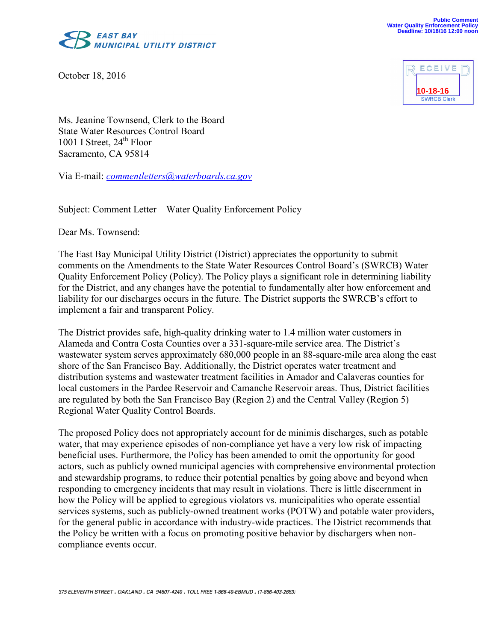

October 18, 2016



Ms. Jeanine Townsend, Clerk to the Board State Water Resources Control Board 1001 I Street,  $24<sup>th</sup>$  Floor Sacramento, CA 95814

Via E-mail: *[commentletters@waterboards.ca.gov](mailto:commentletters@waterboards.ca.gov)*

Subject: Comment Letter – Water Quality Enforcement Policy

Dear Ms. Townsend:

The East Bay Municipal Utility District (District) appreciates the opportunity to submit comments on the Amendments to the State Water Resources Control Board's (SWRCB) Water Quality Enforcement Policy (Policy). The Policy plays a significant role in determining liability for the District, and any changes have the potential to fundamentally alter how enforcement and liability for our discharges occurs in the future. The District supports the SWRCB's effort to implement a fair and transparent Policy.

The District provides safe, high-quality drinking water to 1.4 million water customers in Alameda and Contra Costa Counties over a 331-square-mile service area. The District's wastewater system serves approximately 680,000 people in an 88-square-mile area along the east shore of the San Francisco Bay. Additionally, the District operates water treatment and distribution systems and wastewater treatment facilities in Amador and Calaveras counties for local customers in the Pardee Reservoir and Camanche Reservoir areas. Thus, District facilities are regulated by both the San Francisco Bay (Region 2) and the Central Valley (Region 5) Regional Water Quality Control Boards.

The proposed Policy does not appropriately account for de minimis discharges, such as potable water, that may experience episodes of non-compliance yet have a very low risk of impacting beneficial uses. Furthermore, the Policy has been amended to omit the opportunity for good actors, such as publicly owned municipal agencies with comprehensive environmental protection and stewardship programs, to reduce their potential penalties by going above and beyond when responding to emergency incidents that may result in violations. There is little discernment in how the Policy will be applied to egregious violators vs. municipalities who operate essential services systems, such as publicly-owned treatment works (POTW) and potable water providers, for the general public in accordance with industry-wide practices. The District recommends that the Policy be written with a focus on promoting positive behavior by dischargers when noncompliance events occur.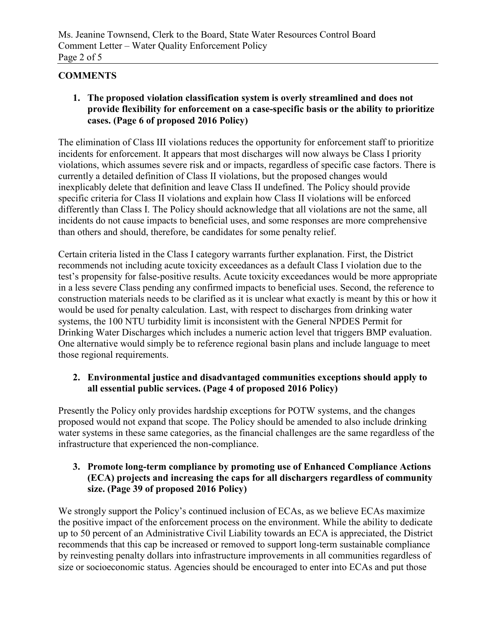# **COMMENTS**

**1. The proposed violation classification system is overly streamlined and does not provide flexibility for enforcement on a case-specific basis or the ability to prioritize cases. (Page 6 of proposed 2016 Policy)**

The elimination of Class III violations reduces the opportunity for enforcement staff to prioritize incidents for enforcement. It appears that most discharges will now always be Class I priority violations, which assumes severe risk and or impacts, regardless of specific case factors. There is currently a detailed definition of Class II violations, but the proposed changes would inexplicably delete that definition and leave Class II undefined. The Policy should provide specific criteria for Class II violations and explain how Class II violations will be enforced differently than Class I. The Policy should acknowledge that all violations are not the same, all incidents do not cause impacts to beneficial uses, and some responses are more comprehensive than others and should, therefore, be candidates for some penalty relief.

Certain criteria listed in the Class I category warrants further explanation. First, the District recommends not including acute toxicity exceedances as a default Class I violation due to the test's propensity for false-positive results. Acute toxicity exceedances would be more appropriate in a less severe Class pending any confirmed impacts to beneficial uses. Second, the reference to construction materials needs to be clarified as it is unclear what exactly is meant by this or how it would be used for penalty calculation. Last, with respect to discharges from drinking water systems, the 100 NTU turbidity limit is inconsistent with the General NPDES Permit for Drinking Water Discharges which includes a numeric action level that triggers BMP evaluation. One alternative would simply be to reference regional basin plans and include language to meet those regional requirements.

# **2. Environmental justice and disadvantaged communities exceptions should apply to all essential public services. (Page 4 of proposed 2016 Policy)**

Presently the Policy only provides hardship exceptions for POTW systems, and the changes proposed would not expand that scope. The Policy should be amended to also include drinking water systems in these same categories, as the financial challenges are the same regardless of the infrastructure that experienced the non-compliance.

# **3. Promote long-term compliance by promoting use of Enhanced Compliance Actions (ECA) projects and increasing the caps for all dischargers regardless of community size. (Page 39 of proposed 2016 Policy)**

We strongly support the Policy's continued inclusion of ECAs, as we believe ECAs maximize the positive impact of the enforcement process on the environment. While the ability to dedicate up to 50 percent of an Administrative Civil Liability towards an ECA is appreciated, the District recommends that this cap be increased or removed to support long-term sustainable compliance by reinvesting penalty dollars into infrastructure improvements in all communities regardless of size or socioeconomic status. Agencies should be encouraged to enter into ECAs and put those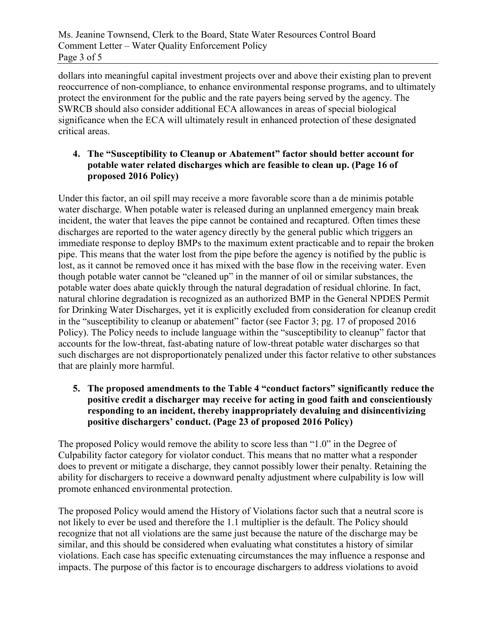dollars into meaningful capital investment projects over and above their existing plan to prevent reoccurrence of non-compliance, to enhance environmental response programs, and to ultimately protect the environment for the public and the rate payers being served by the agency. The SWRCB should also consider additional ECA allowances in areas of special biological significance when the ECA will ultimately result in enhanced protection of these designated critical areas.

# **4. The "Susceptibility to Cleanup or Abatement" factor should better account for potable water related discharges which are feasible to clean up. (Page 16 of proposed 2016 Policy)**

Under this factor, an oil spill may receive a more favorable score than a de minimis potable water discharge. When potable water is released during an unplanned emergency main break incident, the water that leaves the pipe cannot be contained and recaptured. Often times these discharges are reported to the water agency directly by the general public which triggers an immediate response to deploy BMPs to the maximum extent practicable and to repair the broken pipe. This means that the water lost from the pipe before the agency is notified by the public is lost, as it cannot be removed once it has mixed with the base flow in the receiving water. Even though potable water cannot be "cleaned up" in the manner of oil or similar substances, the potable water does abate quickly through the natural degradation of residual chlorine. In fact, natural chlorine degradation is recognized as an authorized BMP in the General NPDES Permit for Drinking Water Discharges, yet it is explicitly excluded from consideration for cleanup credit in the "susceptibility to cleanup or abatement" factor (see Factor 3; pg. 17 of proposed 2016 Policy). The Policy needs to include language within the "susceptibility to cleanup" factor that accounts for the low-threat, fast-abating nature of low-threat potable water discharges so that such discharges are not disproportionately penalized under this factor relative to other substances that are plainly more harmful.

### **5. The proposed amendments to the Table 4 "conduct factors" significantly reduce the positive credit a discharger may receive for acting in good faith and conscientiously responding to an incident, thereby inappropriately devaluing and disincentivizing positive dischargers' conduct. (Page 23 of proposed 2016 Policy)**

The proposed Policy would remove the ability to score less than "1.0" in the Degree of Culpability factor category for violator conduct. This means that no matter what a responder does to prevent or mitigate a discharge, they cannot possibly lower their penalty. Retaining the ability for dischargers to receive a downward penalty adjustment where culpability is low will promote enhanced environmental protection.

The proposed Policy would amend the History of Violations factor such that a neutral score is not likely to ever be used and therefore the 1.1 multiplier is the default. The Policy should recognize that not all violations are the same just because the nature of the discharge may be similar, and this should be considered when evaluating what constitutes a history of similar violations. Each case has specific extenuating circumstances the may influence a response and impacts. The purpose of this factor is to encourage dischargers to address violations to avoid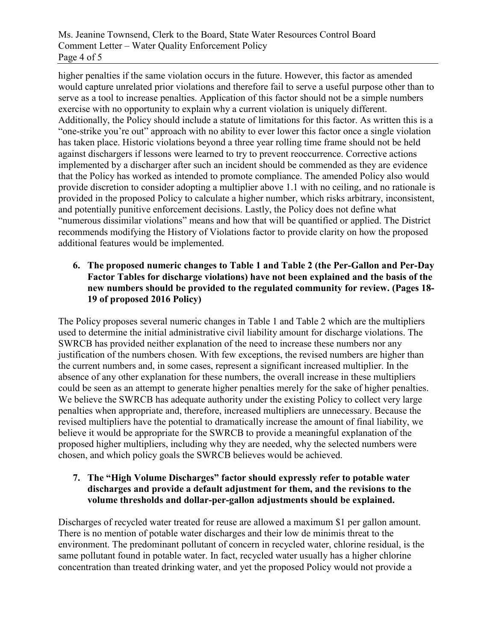Ms. Jeanine Townsend, Clerk to the Board, State Water Resources Control Board Comment Letter – Water Quality Enforcement Policy Page 4 of 5

higher penalties if the same violation occurs in the future. However, this factor as amended would capture unrelated prior violations and therefore fail to serve a useful purpose other than to serve as a tool to increase penalties. Application of this factor should not be a simple numbers exercise with no opportunity to explain why a current violation is uniquely different. Additionally, the Policy should include a statute of limitations for this factor. As written this is a "one-strike you're out" approach with no ability to ever lower this factor once a single violation has taken place. Historic violations beyond a three year rolling time frame should not be held against dischargers if lessons were learned to try to prevent reoccurrence. Corrective actions implemented by a discharger after such an incident should be commended as they are evidence that the Policy has worked as intended to promote compliance. The amended Policy also would provide discretion to consider adopting a multiplier above 1.1 with no ceiling, and no rationale is provided in the proposed Policy to calculate a higher number, which risks arbitrary, inconsistent, and potentially punitive enforcement decisions. Lastly, the Policy does not define what "numerous dissimilar violations" means and how that will be quantified or applied. The District recommends modifying the History of Violations factor to provide clarity on how the proposed additional features would be implemented.

#### **6. The proposed numeric changes to Table 1 and Table 2 (the Per-Gallon and Per-Day Factor Tables for discharge violations) have not been explained and the basis of the new numbers should be provided to the regulated community for review. (Pages 18- 19 of proposed 2016 Policy)**

The Policy proposes several numeric changes in Table 1 and Table 2 which are the multipliers used to determine the initial administrative civil liability amount for discharge violations. The SWRCB has provided neither explanation of the need to increase these numbers nor any justification of the numbers chosen. With few exceptions, the revised numbers are higher than the current numbers and, in some cases, represent a significant increased multiplier. In the absence of any other explanation for these numbers, the overall increase in these multipliers could be seen as an attempt to generate higher penalties merely for the sake of higher penalties. We believe the SWRCB has adequate authority under the existing Policy to collect very large penalties when appropriate and, therefore, increased multipliers are unnecessary. Because the revised multipliers have the potential to dramatically increase the amount of final liability, we believe it would be appropriate for the SWRCB to provide a meaningful explanation of the proposed higher multipliers, including why they are needed, why the selected numbers were chosen, and which policy goals the SWRCB believes would be achieved.

# **7. The "High Volume Discharges" factor should expressly refer to potable water discharges and provide a default adjustment for them, and the revisions to the volume thresholds and dollar-per-gallon adjustments should be explained.**

Discharges of recycled water treated for reuse are allowed a maximum \$1 per gallon amount. There is no mention of potable water discharges and their low de minimis threat to the environment. The predominant pollutant of concern in recycled water, chlorine residual, is the same pollutant found in potable water. In fact, recycled water usually has a higher chlorine concentration than treated drinking water, and yet the proposed Policy would not provide a